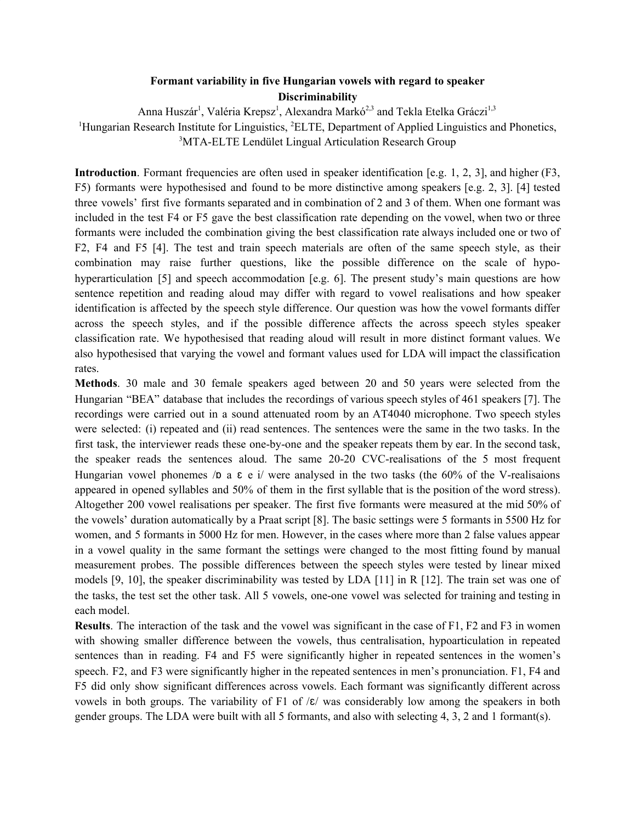## **Formant variability in five Hungarian vowels with regard to speaker Discriminability**

Anna Huszár<sup>1</sup>, Valéria Krepsz<sup>1</sup>, Alexandra Markó<sup>2,3</sup> and Tekla Etelka Gráczi<sup>1,3</sup> <sup>1</sup>Hungarian Research Institute for Linguistics, <sup>2</sup>ELTE, Department of Applied Linguistics and Phonetics, <sup>3</sup>MTA-ELTE Lendület Lingual Articulation Research Group

**Introduction**. Formant frequencies are often used in speaker identification [e.g. 1, 2, 3], and higher (F3, F5) formants were hypothesised and found to be more distinctive among speakers [e.g. 2, 3]. [4] tested three vowels' first five formants separated and in combination of 2 and 3 of them. When one formant was included in the test F4 or F5 gave the best classification rate depending on the vowel, when two or three formants were included the combination giving the best classification rate always included one or two of F2, F4 and F5 [4]. The test and train speech materials are often of the same speech style, as their combination may raise further questions, like the possible difference on the scale of hypohyperarticulation [5] and speech accommodation [e.g. 6]. The present study's main questions are how sentence repetition and reading aloud may differ with regard to vowel realisations and how speaker identification is affected by the speech style difference. Our question was how the vowel formants differ across the speech styles, and if the possible difference affects the across speech styles speaker classification rate. We hypothesised that reading aloud will result in more distinct formant values. We also hypothesised that varying the vowel and formant values used for LDA will impact the classification rates.

**Methods**. 30 male and 30 female speakers aged between 20 and 50 years were selected from the Hungarian "BEA" database that includes the recordings of various speech styles of 461 speakers [7]. The recordings were carried out in a sound attenuated room by an AT4040 microphone. Two speech styles were selected: (i) repeated and (ii) read sentences. The sentences were the same in the two tasks. In the first task, the interviewer reads these one-by-one and the speaker repeats them by ear. In the second task, the speaker reads the sentences aloud. The same 20-20 CVC-realisations of the 5 most frequent Hungarian vowel phonemes /p a  $\varepsilon$  e i/ were analysed in the two tasks (the 60% of the V-realisaions appeared in opened syllables and 50% of them in the first syllable that is the position of the word stress). Altogether 200 vowel realisations per speaker. The first five formants were measured at the mid 50% of the vowels' duration automatically by a Praat script [8]. The basic settings were 5 formants in 5500 Hz for women, and 5 formants in 5000 Hz for men. However, in the cases where more than 2 false values appear in a vowel quality in the same formant the settings were changed to the most fitting found by manual measurement probes. The possible differences between the speech styles were tested by linear mixed models [9, 10], the speaker discriminability was tested by LDA [11] in R [12]. The train set was one of the tasks, the test set the other task. All 5 vowels, one-one vowel was selected for training and testing in each model.

**Results**. The interaction of the task and the vowel was significant in the case of F1, F2 and F3 in women with showing smaller difference between the vowels, thus centralisation, hypoarticulation in repeated sentences than in reading. F4 and F5 were significantly higher in repeated sentences in the women's speech. F2, and F3 were significantly higher in the repeated sentences in men's pronunciation. F1, F4 and F5 did only show significant differences across vowels. Each formant was significantly different across vowels in both groups. The variability of F1 of  $\mathcal{E}/\mathcal{E}/\mathcal{E}$  was considerably low among the speakers in both gender groups. The LDA were built with all 5 formants, and also with selecting 4, 3, 2 and 1 formant(s).